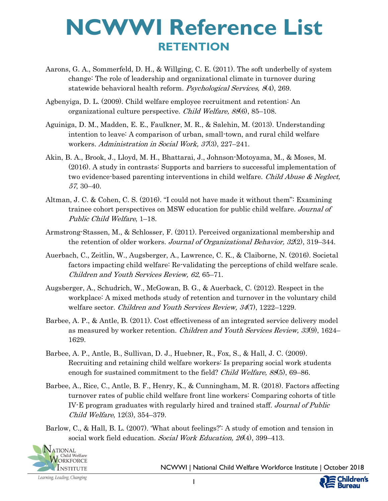- Aarons, G. A., Sommerfeld, D. H., & Willging, C. E. (2011). The soft underbelly of system change: The role of leadership and organizational climate in turnover during statewide behavioral health reform. *Psychological Services*, 8(4), 269.
- Agbenyiga, D. L. (2009). Child welfare employee recruitment and retention: An organizational culture perspective. Child Welfare, 88(6), 85–108.
- Aguiniga, D. M., Madden, E. E., Faulkner, M. R., & Salehin, M. (2013). Understanding intention to leave: A comparison of urban, small-town, and rural child welfare workers. Administration in Social Work, 37(3), 227–241.
- Akin, B. A., Brook, J., Lloyd, M. H., Bhattarai, J., Johnson-Motoyama, M., & Moses, M. (2016). A study in contrasts: Supports and barriers to successful implementation of two evidence-based parenting interventions in child welfare. Child Abuse & Neglect, 57, 30–40.
- Altman, J. C. & Cohen, C. S. (2016). "I could not have made it without them": Examining trainee cohort perspectives on MSW education for public child welfare. Journal of Public Child Welfare, 1–18.
- Armstrong-Stassen, M., & Schlosser, F. (2011). Perceived organizational membership and the retention of older workers. Journal of Organizational Behavior, 32(2), 319–344.
- Auerbach, C., Zeitlin, W., Augsberger, A., Lawrence, C. K., & Claiborne, N. (2016). Societal factors impacting child welfare: Re-validating the perceptions of child welfare scale. Children and Youth Services Review, 62, 65–71.
- Augsberger, A., Schudrich, W., McGowan, B. G., & Auerback, C. (2012). Respect in the workplace: A mixed methods study of retention and turnover in the voluntary child welfare sector. Children and Youth Services Review, 34(7), 1222–1229.
- Barbee, A. P., & Antle, B. (2011). Cost effectiveness of an integrated service delivery model as measured by worker retention. Children and Youth Services Review, 33(9), 1624– 1629.
- Barbee, A. P., Antle, B., Sullivan, D. J., Huebner, R., Fox, S., & Hall, J. C. (2009). Recruiting and retaining child welfare workers: Is preparing social work students enough for sustained commitment to the field? Child Welfare, 88(5), 69–86.
- Barbee, A., Rice, C., Antle, B. F., Henry, K., & Cunningham, M. R. (2018). Factors affecting turnover rates of public child welfare front line workers: Comparing cohorts of title IV-E program graduates with regularly hired and trained staff. Journal of Public Child Welfare, 12(3), 354–379.
- Barlow, C., & Hall, B. L. (2007). 'What about feelings?': A study of emotion and tension in social work field education. Social Work Education, 26(4), 399-413.



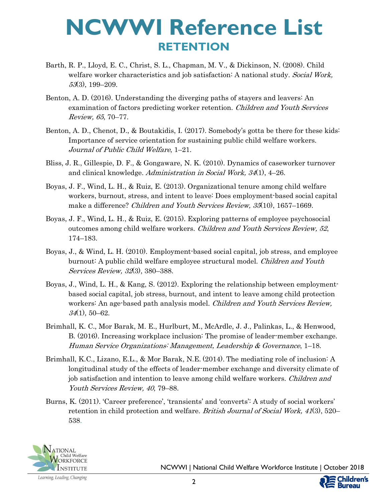- Barth, R. P., Lloyd, E. C., Christ, S. L., Chapman, M. V., & Dickinson, N. (2008). Child welfare worker characteristics and job satisfaction: A national study. Social Work, 53(3), 199–209.
- Benton, A. D. (2016). Understanding the diverging paths of stayers and leavers: An examination of factors predicting worker retention. Children and Youth Services Review, 65, 70–77.
- Benton, A. D., Chenot, D., & Boutakidis, I. (2017). Somebody's gotta be there for these kids: Importance of service orientation for sustaining public child welfare workers. Journal of Public Child Welfare, 1–21.
- Bliss, J. R., Gillespie, D. F., & Gongaware, N. K. (2010). Dynamics of caseworker turnover and clinical knowledge. Administration in Social Work, 34(1), 4–26.
- Boyas, J. F., Wind, L. H., & Ruiz, E. (2013). Organizational tenure among child welfare workers, burnout, stress, and intent to leave: Does employment-based social capital make a difference? Children and Youth Services Review, 35(10), 1657-1669.
- Boyas, J. F., Wind, L. H., & Ruiz, E. (2015). Exploring patterns of employee psychosocial outcomes among child welfare workers. Children and Youth Services Review, 52, 174–183.
- Boyas, J., & Wind, L. H. (2010). Employment-based social capital, job stress, and employee burnout: A public child welfare employee structural model. Children and Youth Services Review, 32(3), 380–388.
- Boyas, J., Wind, L. H., & Kang, S. (2012). Exploring the relationship between employmentbased social capital, job stress, burnout, and intent to leave among child protection workers: An age-based path analysis model. *Children and Youth Services Review*, 34(1), 50–62.
- Brimhall, K. C., Mor Barak, M. E., Hurlburt, M., McArdle, J. J., Palinkas, L., & Henwood, B. (2016). Increasing workplace inclusion: The promise of leader-member exchange. Human Service Organizations: Management, Leadership & Governance, 1–18.
- Brimhall, K.C., Lizano, E.L., & Mor Barak, N.E. (2014). The mediating role of inclusion: A longitudinal study of the effects of leader-member exchange and diversity climate of job satisfaction and intention to leave among child welfare workers. *Children and* Youth Services Review, 40, 79–88.
- Burns, K. (2011). 'Career preference', 'transients' and 'converts': A study of social workers' retention in child protection and welfare. *British Journal of Social Work*, 41(3), 520– 538.



NCWWI | National Child Welfare Workforce Institute | October 2018

ildren's

Bureau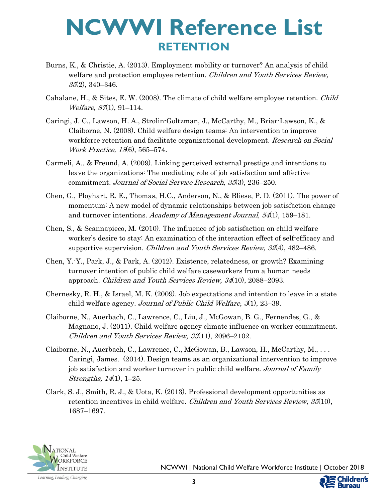- Burns, K., & Christie, A. (2013). Employment mobility or turnover? An analysis of child welfare and protection employee retention. Children and Youth Services Review,  $35(2)$ , 340–346.
- Cahalane, H., & Sites, E. W. (2008). The climate of child welfare employee retention. Child  $Weltare, 87(1), 91-114.$
- Caringi, J. C., Lawson, H. A., Strolin-Goltzman, J., McCarthy, M., Briar-Lawson, K., & Claiborne, N. (2008). Child welfare design teams: An intervention to improve workforce retention and facilitate organizational development. Research on Social Work Practice, 18(6), 565–574.
- Carmeli, A., & Freund, A. (2009). Linking perceived external prestige and intentions to leave the organizations: The mediating role of job satisfaction and affective commitment. Journal of Social Service Research, 35(3), 236–250.
- Chen, G., Ployhart, R. E., Thomas, H.C., Anderson, N., & Bliese, P. D. (2011). The power of momentum: A new model of dynamic relationships between job satisfaction change and turnover intentions. Academy of Management Journal, 54(1), 159–181.
- Chen, S., & Scannapieco, M. (2010). The influence of job satisfaction on child welfare worker's desire to stay: An examination of the interaction effect of self-efficacy and supportive supervision. *Children and Youth Services Review, 32*(4), 482–486.
- Chen, Y.-Y., Park, J., & Park, A. (2012). Existence, relatedness, or growth? Examining turnover intention of public child welfare caseworkers from a human needs approach. Children and Youth Services Review, 34(10), 2088–2093.
- Chernesky, R. H., & Israel, M. K. (2009). Job expectations and intention to leave in a state child welfare agency. Journal of Public Child Welfare,  $3(1)$ , 23–39.
- Claiborne, N., Auerbach, C., Lawrence, C., Liu, J., McGowan, B. G., Fernendes, G., & Magnano, J. (2011). Child welfare agency climate influence on worker commitment. Children and Youth Services Review, 33(11), 2096–2102.
- Claiborne, N., Auerbach, C., Lawrence, C., McGowan, B., Lawson, H., McCarthy, M., ... Caringi, James. (2014). Design teams as an organizational intervention to improve job satisfaction and worker turnover in public child welfare. Journal of Family Strengths, 14(1), 1–25.
- Clark, S. J., Smith, R. J., & Uota, K. (2013). Professional development opportunities as retention incentives in child welfare. Children and Youth Services Review, 35(10), 1687–1697.

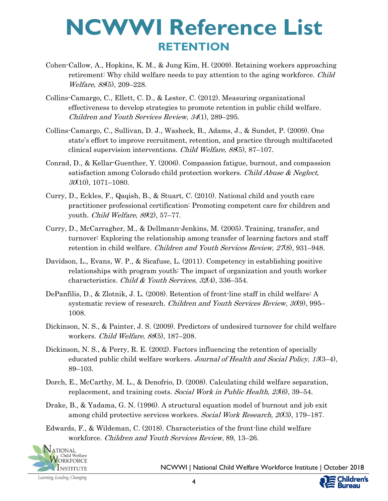- Cohen-Callow, A., Hopkins, K. M., & Jung Kim, H. (2009). Retaining workers approaching retirement: Why child welfare needs to pay attention to the aging workforce. Child Welfare, 88(5), 209-228.
- Collins-Camargo, C., Ellett, C. D., & Lester, C. (2012). Measuring organizational effectiveness to develop strategies to promote retention in public child welfare. Children and Youth Services Review, 34(1), 289–295.
- Collins-Camargo, C., Sullivan, D. J., Washeck, B., Adams, J., & Sundet, P. (2009). One state's effort to improve recruitment, retention, and practice through multifaceted clinical supervision interventions. Child Welfare, 88(5), 87–107.
- Conrad, D., & Kellar-Guenther, Y. (2006). Compassion fatigue, burnout, and compassion satisfaction among Colorado child protection workers. Child Abuse & Neglect,  $30(10)$ , 1071–1080.
- Curry, D., Eckles, F., Qaqish, B., & Stuart, C. (2010). National child and youth care practitioner professional certification: Promoting competent care for children and youth. Child Welfare,  $89(2)$ , 57–77.
- Curry, D., McCarragher, M., & Dellmann-Jenkins, M. (2005). Training, transfer, and turnover: Exploring the relationship among transfer of learning factors and staff retention in child welfare. Children and Youth Services Review, 27(8), 931–948.
- Davidson, L., Evans, W. P., & Sicafuse, L. (2011). Competency in establishing positive relationships with program youth: The impact of organization and youth worker characteristics. Child & Youth Services, 32(4), 336–354.
- DePanfilis, D., & Zlotnik, J. L. (2008). Retention of front-line staff in child welfare: A systematic review of research. *Children and Youth Services Review, 30*(9), 995– 1008.
- Dickinson, N. S., & Painter, J. S. (2009). Predictors of undesired turnover for child welfare workers. Child Welfare, 88(5), 187–208.
- Dickinson, N. S., & Perry, R. E. (2002). Factors influencing the retention of specially educated public child welfare workers. Journal of Health and Social Policy, 15(3-4), 89–103.
- Dorch, E., McCarthy, M. L., & Denofrio, D. (2008). Calculating child welfare separation, replacement, and training costs. Social Work in Public Health, 23(6), 39–54.
- Drake, B., & Yadama, G. N. (1996). A structural equation model of burnout and job exit among child protective services workers. Social Work Research, 20(3), 179–187.
- Edwards, F., & Wildeman, C. (2018). Characteristics of the front-line child welfare workforce. Children and Youth Services Review, 89, 13–26.



NCWWI | National Child Welfare Workforce Institute | October 2018

ildren's

Bureau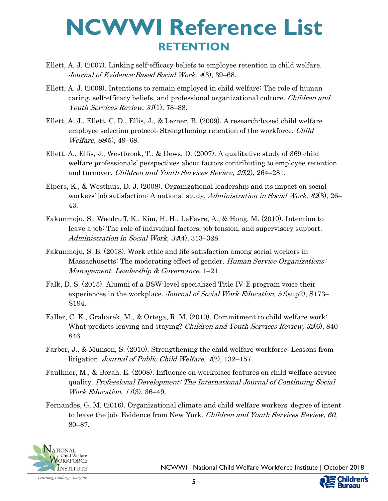- Ellett, A. J. (2007). Linking self-efficacy beliefs to employee retention in child welfare. Journal of Evidence-Based Social Work, 4(3), 39–68.
- Ellett, A. J. (2009). Intentions to remain employed in child welfare: The role of human caring, self-efficacy beliefs, and professional organizational culture. Children and Youth Services Review, 31(1), 78–88.
- Ellett, A. J., Ellett, C. D., Ellis, J., & Lerner, B. (2009). A research-based child welfare employee selection protocol: Strengthening retention of the workforce. *Child* Welfare, 88(5), 49–68.
- Ellett, A., Ellis, J., Westbrook, T., & Dews, D. (2007). A qualitative study of 369 child welfare professionals' perspectives about factors contributing to employee retention and turnover. Children and Youth Services Review, 29(2), 264–281.
- Elpers, K., & Westhuis, D. J. (2008). Organizational leadership and its impact on social workers' job satisfaction: A national study. Administration in Social Work, 32(3), 26– 43.
- Fakunmoju, S., Woodruff, K., Kim, H. H., LeFevre, A., & Hong, M. (2010). Intention to leave a job: The role of individual factors, job tension, and supervisory support. Administration in Social Work, 34(4), 313–328.
- Fakunmoju, S. B. (2018). Work ethic and life satisfaction among social workers in Massachusetts: The moderating effect of gender. Human Service Organizations: Management, Leadership & Governance,  $1-21$ .
- Falk, D. S. (2015). Alumni of a BSW-level specialized Title IV-E program voice their experiences in the workplace. Journal of Social Work Education, 51(sup2), S173– S194.
- Faller, C. K., Grabarek, M., & Ortega, R. M. (2010). Commitment to child welfare work: What predicts leaving and staying? *Children and Youth Services Review, 32*(6), 840– 846.
- Farber, J., & Munson, S. (2010). Strengthening the child welfare workforce: Lessons from litigation. *Journal of Public Child Welfare, 4*(2), 132–157.
- Faulkner, M., & Borah, E. (2008). Influence on workplace features on child welfare service quality. Professional Development: The International Journal of Continuing Social Work Education, 11(3), 36–49.
- Fernandes, G. M. (2016). Organizational climate and child welfare workers' degree of intent to leave the job: Evidence from New York. Children and Youth Services Review, 60, 80–87.

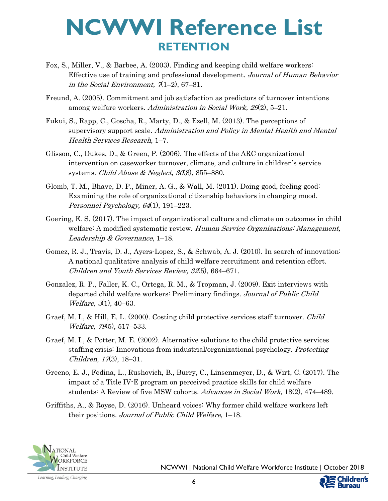- Fox, S., Miller, V., & Barbee, A. (2003). Finding and keeping child welfare workers: Effective use of training and professional development. Journal of Human Behavior in the Social Environment,  $7(1-2)$ , 67-81.
- Freund, A. (2005). Commitment and job satisfaction as predictors of turnover intentions among welfare workers. Administration in Social Work, 29(2), 5–21.
- Fukui, S., Rapp, C., Goscha, R., Marty, D., & Ezell, M. (2013). The perceptions of supervisory support scale. Administration and Policy in Mental Health and Mental Health Services Research, 1–7.
- Glisson, C., Dukes, D., & Green, P. (2006). The effects of the ARC organizational intervention on caseworker turnover, climate, and culture in children's service systems. Child Abuse & Neglect,  $30(8)$ ,  $855-880$ .
- Glomb, T. M., Bhave, D. P., Miner, A. G., & Wall, M. (2011). Doing good, feeling good: Examining the role of organizational citizenship behaviors in changing mood. Personnel Psychology, 64(1), 191-223.
- Goering, E. S. (2017). The impact of organizational culture and climate on outcomes in child welfare: A modified systematic review. Human Service Organizations: Management, Leadership & Governance, 1–18.
- Gomez, R. J., Travis, D. J., Ayers-Lopez, S., & Schwab, A. J. (2010). In search of innovation: A national qualitative analysis of child welfare recruitment and retention effort. Children and Youth Services Review, 32(5), 664–671.
- Gonzalez, R. P., Faller, K. C., Ortega, R. M., & Tropman, J. (2009). Exit interviews with departed child welfare workers: Preliminary findings. Journal of Public Child Welfare, 3(1), 40–63.
- Graef, M. I., & Hill, E. L. (2000). Costing child protective services staff turnover. *Child* Welfare, 79(5), 517–533.
- Graef, M. I., & Potter, M. E. (2002). Alternative solutions to the child protective services staffing crisis: Innovations from industrial/organizational psychology. Protecting Children,  $17(3)$ ,  $18-31$ .
- Greeno, E. J., Fedina, L., Rushovich, B., Burry, C., Linsenmeyer, D., & Wirt, C. (2017). The impact of a Title IV-E program on perceived practice skills for child welfare students: A Review of five MSW cohorts. Advances in Social Work, 18(2), 474–489.
- Griffiths, A., & Royse, D. (2016). Unheard voices: Why former child welfare workers left their positions. Journal of Public Child Welfare, 1–18.

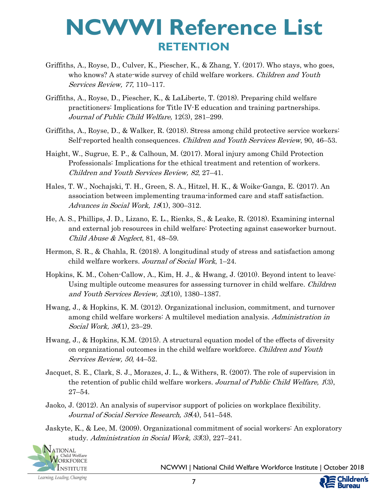- Griffiths, A., Royse, D., Culver, K., Piescher, K., & Zhang, Y. (2017). Who stays, who goes, who knows? A state-wide survey of child welfare workers. *Children and Youth* Services Review, 77, 110–117.
- Griffiths, A., Royse, D., Piescher, K., & LaLiberte, T. (2018). Preparing child welfare practitioners: Implications for Title IV-E education and training partnerships. Journal of Public Child Welfare, 12(3), 281–299.
- Griffiths, A., Royse, D., & Walker, R. (2018). Stress among child protective service workers: Self-reported health consequences. *Children and Youth Services Review*, 90, 46–53.
- Haight, W., Sugrue, E. P., & Calhoun, M. (2017). Moral injury among Child Protection Professionals: Implications for the ethical treatment and retention of workers. Children and Youth Services Review, 82, 27–41.
- Hales, T. W., Nochajski, T. H., Green, S. A., Hitzel, H. K., & Woike-Ganga, E. (2017). An association between implementing trauma-informed care and staff satisfaction. Advances in Social Work, 18(1), 300–312.
- He, A. S., Phillips, J. D., Lizano, E. L., Rienks, S., & Leake, R. (2018). Examining internal and external job resources in child welfare: Protecting against caseworker burnout. Child Abuse & Neglect, 81, 48–59.
- Hermon, S. R., & Chahla, R. (2018). A longitudinal study of stress and satisfaction among child welfare workers. Journal of Social Work, 1–24.
- Hopkins, K. M., Cohen-Callow, A., Kim, H. J., & Hwang, J. (2010). Beyond intent to leave: Using multiple outcome measures for assessing turnover in child welfare. Children and Youth Services Review,  $32(10)$ , 1380–1387.
- Hwang, J., & Hopkins, K. M. (2012). Organizational inclusion, commitment, and turnover among child welfare workers: A multilevel mediation analysis. Administration in Social Work, 36(1), 23–29.
- Hwang, J., & Hopkins, K.M. (2015). A structural equation model of the effects of diversity on organizational outcomes in the child welfare workforce. Children and Youth Services Review, 50, 44–52.
- Jacquet, S. E., Clark, S. J., Morazes, J. L., & Withers, R. (2007). The role of supervision in the retention of public child welfare workers. Journal of Public Child Welfare, 1(3), 27–54.
- Jaoko, J. (2012). An analysis of supervisor support of policies on workplace flexibility. Journal of Social Service Research, 38(4), 541–548.
- Jaskyte, K., & Lee, M. (2009). Organizational commitment of social workers: An exploratory study. Administration in Social Work, 33(3), 227–241.



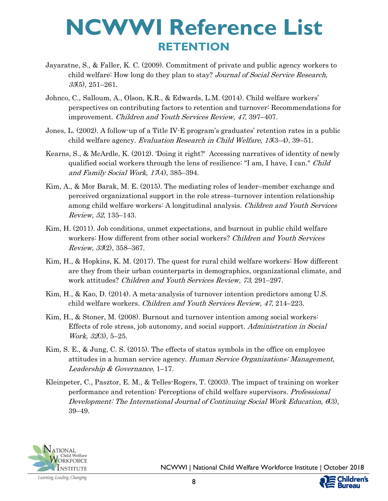- Jayaratne, S., & Faller, K. C. (2009). Commitment of private and public agency workers to child welfare: How long do they plan to stay? Journal of Social Service Research, 35(5), 251–261.
- Johnco, C., Salloum, A., Olson, K.R., & Edwards, L.M. (2014). Child welfare workers' perspectives on contributing factors to retention and turnover: Recommendations for improvement. Children and Youth Services Review, 47, 397–407.
- Jones, L. (2002). A follow-up of a Title IV-E program's graduates' retention rates in a public child welfare agency. Evaluation Research in Child Welfare, 15(3–4), 39–51.
- Kearns, S., & McArdle, K. (2012). 'Doing it right?' Accessing narratives of identity of newly qualified social workers through the lens of resilience: "I am, I have, I can." Child and Family Social Work,  $17(4)$ ,  $385-394$ .
- Kim, A., & Mor Barak, M. E. (2015). The mediating roles of leader–member exchange and perceived organizational support in the role stress–turnover intention relationship among child welfare workers: A longitudinal analysis. *Children and Youth Services* Review, 52, 135–143.
- Kim, H. (2011). Job conditions, unmet expectations, and burnout in public child welfare workers: How different from other social workers? *Children and Youth Services* Review, 33(2), 358–367.
- Kim, H., & Hopkins, K. M. (2017). The quest for rural child welfare workers: How different are they from their urban counterparts in demographics, organizational climate, and work attitudes? Children and Youth Services Review, 73, 291–297.
- Kim, H., & Kao, D. (2014). A meta-analysis of turnover intention predictors among U.S. child welfare workers. Children and Youth Services Review, 47, 214–223.
- Kim, H., & Stoner, M. (2008). Burnout and turnover intention among social workers: Effects of role stress, job autonomy, and social support. Administration in Social Work, 32(3), 5–25.
- Kim, S. E., & Jung, C. S. (2015). The effects of status symbols in the office on employee attitudes in a human service agency. Human Service Organizations: Management, Leadership & Governance, 1–17.
- Kleinpeter, C., Pasztor, E. M., & Telles-Rogers, T. (2003). The impact of training on worker performance and retention: Perceptions of child welfare supervisors. Professional Development: The International Journal of Continuing Social Work Education, 6(3), 39–49.

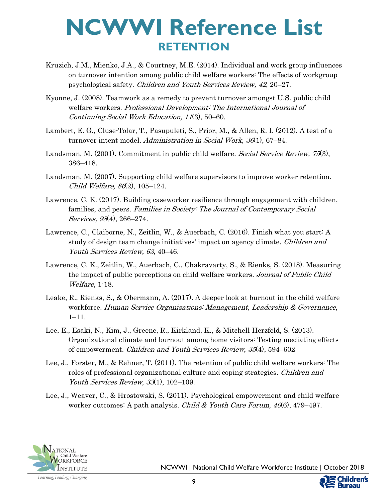- Kruzich, J.M., Mienko, J.A., & Courtney, M.E. (2014). Individual and work group influences on turnover intention among public child welfare workers: The effects of workgroup psychological safety. Children and Youth Services Review, 42, 20–27.
- Kyonne, J. (2008). Teamwork as a remedy to prevent turnover amongst U.S. public child welfare workers. Professional Development: The International Journal of Continuing Social Work Education, 11(3), 50–60.
- Lambert, E. G., Cluse-Tolar, T., Pasupuleti, S., Prior, M., & Allen, R. I. (2012). A test of a turnover intent model. Administration in Social Work, 36(1), 67–84.
- Landsman, M. (2001). Commitment in public child welfare. Social Service Review, 75(3), 386–418.
- Landsman, M. (2007). Supporting child welfare supervisors to improve worker retention. Child Welfare, 86(2), 105–124.
- Lawrence, C. K. (2017). Building caseworker resilience through engagement with children, families, and peers. Families in Society: The Journal of Contemporary Social Services, 98(4), 266–274.
- Lawrence, C., Claiborne, N., Zeitlin, W., & Auerbach, C. (2016). Finish what you start: A study of design team change initiatives' impact on agency climate. Children and Youth Services Review, 63, 40–46.
- Lawrence, C. K., Zeitlin, W., Auerbach, C., Chakravarty, S., & Rienks, S. (2018). Measuring the impact of public perceptions on child welfare workers. Journal of Public Child Welfare, 1-18.
- Leake, R., Rienks, S., & Obermann, A. (2017). A deeper look at burnout in the child welfare workforce. Human Service Organizations: Management, Leadership & Governance, 1–11.
- Lee, E., Esaki, N., Kim, J., Greene, R., Kirkland, K., & Mitchell-Herzfeld, S. (2013). Organizational climate and burnout among home visitors: Testing mediating effects of empowerment. Children and Youth Services Review, 35(4), 594–602
- Lee, J., Forster, M., & Rehner, T. (2011). The retention of public child welfare workers: The roles of professional organizational culture and coping strategies. Children and Youth Services Review, 33(1), 102-109.
- Lee, J., Weaver, C., & Hrostowski, S. (2011). Psychological empowerment and child welfare worker outcomes: A path analysis. Child & Youth Care Forum,  $40(6)$ , 479–497.

9



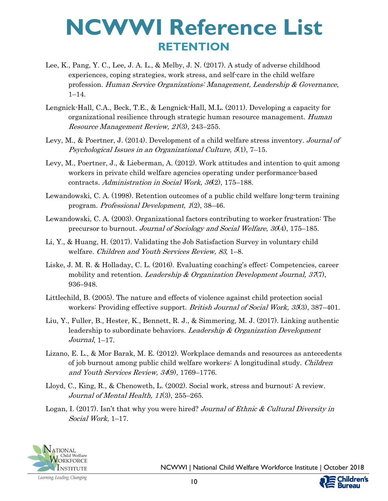- Lee, K., Pang, Y. C., Lee, J. A. L., & Melby, J. N. (2017). A study of adverse childhood experiences, coping strategies, work stress, and self-care in the child welfare profession. Human Service Organizations: Management, Leadership & Governance, 1–14.
- Lengnick-Hall, C.A., Beck, T.E., & Lengnick-Hall, M.L. (2011). Developing a capacity for organizational resilience through strategic human resource management. Human Resource Management Review, 21(3), 243–255.
- Levy, M., & Poertner, J. (2014). Development of a child welfare stress inventory. Journal of Psychological Issues in an Organizational Culture,  $5(1)$ ,  $7-15$ .
- Levy, M., Poertner, J., & Lieberman, A. (2012). Work attitudes and intention to quit among workers in private child welfare agencies operating under performance-based contracts. Administration in Social Work, 36(2), 175–188.
- Lewandowski, C. A. (1998). Retention outcomes of a public child welfare long-term training program. Professional Development, 1(2), 38–46.
- Lewandowski, C. A. (2003). Organizational factors contributing to worker frustration: The precursor to burnout. Journal of Sociology and Social Welfare, 30(4), 175–185.
- Li, Y., & Huang, H. (2017). Validating the Job Satisfaction Survey in voluntary child welfare. Children and Youth Services Review, 83, 1–8.
- Liske, J. M. R. & Holladay, C. L. (2016). Evaluating coaching's effect: Competencies, career mobility and retention. Leadership & Organization Development Journal,  $37(7)$ , 936–948.
- Littlechild, B. (2005). The nature and effects of violence against child protection social workers: Providing effective support. British Journal of Social Work, 35(3), 387–401.
- Liu, Y., Fuller, B., Hester, K., Bennett, R. J., & Simmering, M. J. (2017). Linking authentic leadership to subordinate behaviors. Leadership & Organization Development Journal, 1–17.
- Lizano, E. L., & Mor Barak, M. E. (2012). Workplace demands and resources as antecedents of job burnout among public child welfare workers: A longitudinal study. Children and Youth Services Review, 34(9), 1769–1776.
- Lloyd, C., King, R., & Chenoweth, L. (2002). Social work, stress and burnout: A review. Journal of Mental Health, 11(3), 255–265.
- Logan, I. (2017). Isn't that why you were hired? Journal of Ethnic & Cultural Diversity in Social Work, 1–17.



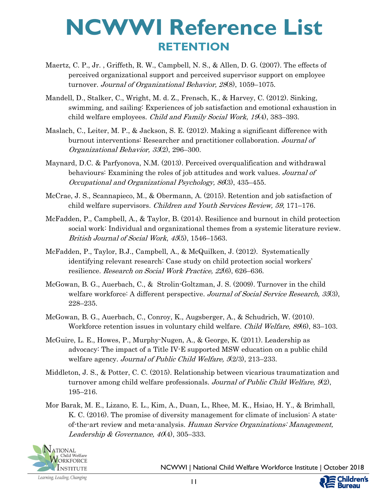- Maertz, C. P., Jr. , Griffeth, R. W., Campbell, N. S., & Allen, D. G. (2007). The effects of perceived organizational support and perceived supervisor support on employee turnover. Journal of Organizational Behavior, 28(8), 1059-1075.
- Mandell, D., Stalker, C., Wright, M. d. Z., Frensch, K., & Harvey, C. (2012). Sinking, swimming, and sailing: Experiences of job satisfaction and emotional exhaustion in child welfare employees. *Child and Family Social Work*, 19(4), 383–393.
- Maslach, C., Leiter, M. P., & Jackson, S. E. (2012). Making a significant difference with burnout interventions: Researcher and practitioner collaboration. Journal of Organizational Behavior, 33(2), 296–300.
- Maynard, D.C. & Parfyonova, N.M. (2013). Perceived overqualification and withdrawal behaviours: Examining the roles of job attitudes and work values. Journal of Occupational and Organizational Psychology, 86(3), 435–455.
- McCrae, J. S., Scannapieco, M., & Obermann, A. (2015). Retention and job satisfaction of child welfare supervisors. Children and Youth Services Review, 59, 171-176.
- McFadden, P., Campbell, A., & Taylor, B. (2014). Resilience and burnout in child protection social work: Individual and organizational themes from a systemic literature review. British Journal of Social Work, 45(5), 1546–1563.
- McFadden, P., Taylor, B.J., Campbell, A., & McQuilken, J. (2012). Systematically identifying relevant research: Case study on child protection social workers' resilience. Research on Social Work Practice, 22(6), 626–636.
- McGowan, B. G., Auerbach, C., & Strolin-Goltzman, J. S. (2009). Turnover in the child welfare workforce: A different perspective. Journal of Social Service Research, 35(3), 228–235.
- McGowan, B. G., Auerbach, C., Conroy, K., Augsberger, A., & Schudrich, W. (2010). Workforce retention issues in voluntary child welfare. *Child Welfare, 89*(6), 83–103.
- McGuire, L. E., Howes, P., Murphy-Nugen, A., & George, K. (2011). Leadership as advocacy: The impact of a Title IV-E supported MSW education on a public child welfare agency. Journal of Public Child Welfare, 5(2/3), 213–233.
- Middleton, J. S., & Potter, C. C. (2015). Relationship between vicarious traumatization and turnover among child welfare professionals. Journal of Public Child Welfare,  $\mathcal{L}(2)$ , 195–216.
- Mor Barak, M. E., Lizano, E. L., Kim, A., Duan, L., Rhee, M. K., Hsiao, H. Y., & Brimhall, K. C. (2016). The promise of diversity management for climate of inclusion: A stateof-the-art review and meta-analysis. Human Service Organizations: Management, Leadership & Governance,  $40(4)$ , 305–333.



NCWWI | National Child Welfare Workforce Institute | October 2018

**ildren's Bureau**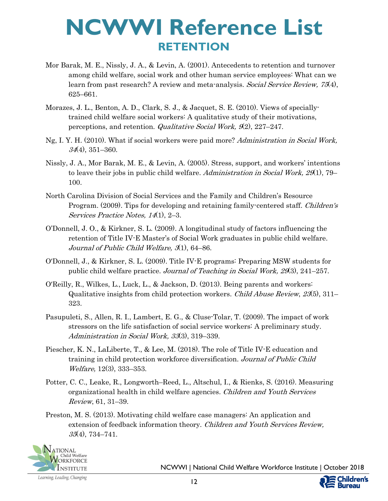- Mor Barak, M. E., Nissly, J. A., & Levin, A. (2001). Antecedents to retention and turnover among child welfare, social work and other human service employees: What can we learn from past research? A review and meta-analysis. Social Service Review, 75(4), 625–661.
- Morazes, J. L., Benton, A. D., Clark, S. J., & Jacquet, S. E. (2010). Views of speciallytrained child welfare social workers: A qualitative study of their motivations, perceptions, and retention. *Qualitative Social Work*, 9(2), 227–247.
- Ng, I. Y. H. (2010). What if social workers were paid more? Administration in Social Work, 34(4), 351–360.
- Nissly, J. A., Mor Barak, M. E., & Levin, A. (2005). Stress, support, and workers' intentions to leave their jobs in public child welfare. Administration in Social Work,  $29(1)$ , 79– 100.
- North Carolina Division of Social Services and the Family and Children's Resource Program. (2009). Tips for developing and retaining family-centered staff. *Children's* Services Practice Notes, 14(1), 2–3.
- O'Donnell, J. O., & Kirkner, S. L. (2009). A longitudinal study of factors influencing the retention of Title IV-E Master's of Social Work graduates in public child welfare. Journal of Public Child Welfare, 3(1), 64–86.
- O'Donnell, J., & Kirkner, S. L. (2009). Title IV-E programs: Preparing MSW students for public child welfare practice. Journal of Teaching in Social Work, 29(3), 241–257.
- O'Reilly, R., Wilkes, L., Luck, L., & Jackson, D. (2013). Being parents and workers: Qualitative insights from child protection workers. Child Abuse Review, 23(5), 311– 323.
- Pasupuleti, S., Allen, R. I., Lambert, E. G., & Cluse-Tolar, T. (2009). The impact of work stressors on the life satisfaction of social service workers: A preliminary study. Administration in Social Work, 33(3), 319–339.
- Piescher, K. N., LaLiberte, T., & Lee, M. (2018). The role of Title IV-E education and training in child protection workforce diversification. Journal of Public Child Welfare, 12(3), 333–353.
- Potter, C. C., Leake, R., Longworth–Reed, L., Altschul, I., & Rienks, S. (2016). Measuring organizational health in child welfare agencies. Children and Youth Services Review, 61, 31–39.
- Preston, M. S. (2013). Motivating child welfare case managers: An application and extension of feedback information theory. Children and Youth Services Review, 35(4), 734–741.



NCWWI | National Child Welfare Workforce Institute | October 2018

12

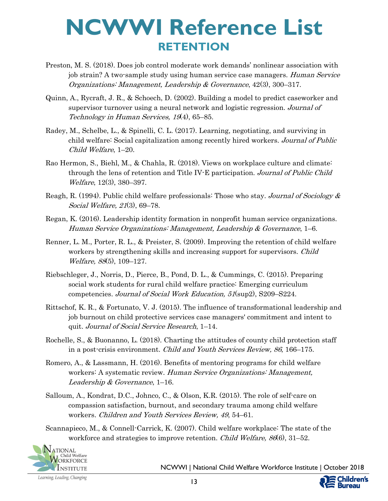- Preston, M. S. (2018). Does job control moderate work demands' nonlinear association with job strain? A two-sample study using human service case managers. Human Service Organizations: Management, Leadership & Governance, 42(3), 300–317.
- Quinn, A., Rycraft, J. R., & Schoech, D. (2002). Building a model to predict caseworker and supervisor turnover using a neural network and logistic regression. Journal of Technology in Human Services, 19(4), 65–85.
- Radey, M., Schelbe, L., & Spinelli, C. L. (2017). Learning, negotiating, and surviving in child welfare: Social capitalization among recently hired workers. Journal of Public Child Welfare, 1–20.
- Rao Hermon, S., Biehl, M., & Chahla, R. (2018). Views on workplace culture and climate: through the lens of retention and Title IV-E participation. Journal of Public Child Welfare, 12(3), 380–397.
- Reagh, R. (1994). Public child welfare professionals: Those who stay. Journal of Sociology & Social Welfare, 21(3), 69–78.
- Regan, K. (2016). Leadership identity formation in nonprofit human service organizations. Human Service Organizations: Management, Leadership & Governance, 1–6.
- Renner, L. M., Porter, R. L., & Preister, S. (2009). Improving the retention of child welfare workers by strengthening skills and increasing support for supervisors. *Child* Welfare, 88(5), 109–127.
- Riebschleger, J., Norris, D., Pierce, B., Pond, D. L., & Cummings, C. (2015). Preparing social work students for rural child welfare practice: Emerging curriculum competencies. Journal of Social Work Education, 51(sup2), S209–S224.
- Rittschof, K. R., & Fortunato, V. J. (2015). The influence of transformational leadership and job burnout on child protective services case managers' commitment and intent to quit. Journal of Social Service Research, 1–14.
- Rochelle, S., & Buonanno, L. (2018). Charting the attitudes of county child protection staff in a post-crisis environment. Child and Youth Services Review, 86, 166–175.
- Romero, A., & Lassmann, H. (2016). Benefits of mentoring programs for child welfare workers: A systematic review. Human Service Organizations: Management, Leadership & Governance, 1–16.
- Salloum, A., Kondrat, D.C., Johnco, C., & Olson, K.R. (2015). The role of self-care on compassion satisfaction, burnout, and secondary trauma among child welfare workers. Children and Youth Services Review, 49, 54–61.
- Scannapieco, M., & Connell-Carrick, K. (2007). Child welfare workplace: The state of the workforce and strategies to improve retention. Child Welfare, 86(6), 31–52.



NCWWI | National Child Welfare Workforce Institute | October 2018

Learning, Leading, Changing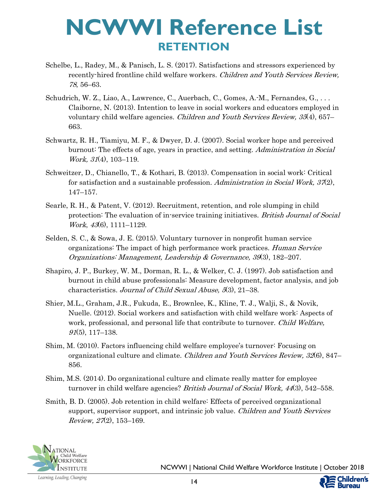- Schelbe, L., Radey, M., & Panisch, L. S. (2017). Satisfactions and stressors experienced by recently-hired frontline child welfare workers. *Children and Youth Services Review*, 78, 56–63.
- Schudrich, W. Z., Liao, A., Lawrence, C., Auerbach, C., Gomes, A.-M., Fernandes, G., . . . Claiborne, N. (2013). Intention to leave in social workers and educators employed in voluntary child welfare agencies. *Children and Youth Services Review, 35*(4), 657– 663.
- Schwartz, R. H., Tiamiyu, M. F., & Dwyer, D. J. (2007). Social worker hope and perceived burnout: The effects of age, years in practice, and setting. Administration in Social Work, 31(4), 103–119.
- Schweitzer, D., Chianello, T., & Kothari, B. (2013). Compensation in social work: Critical for satisfaction and a sustainable profession. Administration in Social Work,  $37(2)$ , 147–157.
- Searle, R. H., & Patent, V. (2012). Recruitment, retention, and role slumping in child protection: The evaluation of in-service training initiatives. British Journal of Social Work, 43(6), 1111–1129.
- Selden, S. C., & Sowa, J. E. (2015). Voluntary turnover in nonprofit human service organizations: The impact of high performance work practices. *Human Service* Organizations: Management, Leadership & Governance, 39(3), 182–207.
- Shapiro, J. P., Burkey, W. M., Dorman, R. L., & Welker, C. J. (1997). Job satisfaction and burnout in child abuse professionals: Measure development, factor analysis, and job characteristics. Journal of Child Sexual Abuse, 5(3), 21–38.
- Shier, M.L., Graham, J.R., Fukuda, E., Brownlee, K., Kline, T. J., Walji, S., & Novik, Nuelle. (2012). Social workers and satisfaction with child welfare work: Aspects of work, professional, and personal life that contribute to turnover. *Child Welfare*,  $91(5)$ , 117–138.
- Shim, M. (2010). Factors influencing child welfare employee's turnover: Focusing on organizational culture and climate. *Children and Youth Services Review, 32*(6), 847– 856.
- Shim, M.S. (2014). Do organizational culture and climate really matter for employee turnover in child welfare agencies? British Journal of Social Work, 44(3), 542–558.
- Smith, B. D. (2005). Job retention in child welfare: Effects of perceived organizational support, supervisor support, and intrinsic job value. *Children and Youth Services* Review,  $27(2)$ , 153-169.



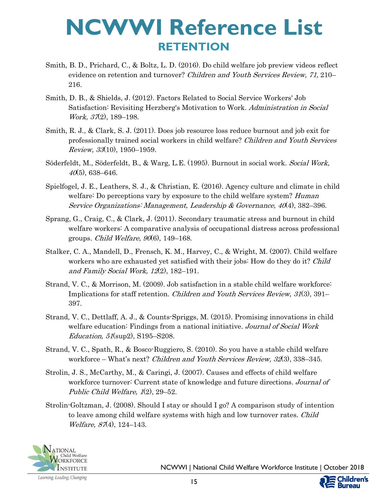- Smith, B. D., Prichard, C., & Boltz, L. D. (2016). Do child welfare job preview videos reflect evidence on retention and turnover? *Children and Youth Services Review, 71, 210*– 216.
- Smith, D. B., & Shields, J. (2012). Factors Related to Social Service Workers' Job Satisfaction: Revisiting Herzberg's Motivation to Work. Administration in Social Work, 37(2), 189–198.
- Smith, R. J., & Clark, S. J. (2011). Does job resource loss reduce burnout and job exit for professionally trained social workers in child welfare? Children and Youth Services Review, 33(10), 1950–1959.
- Söderfeldt, M., Söderfeldt, B., & Warg, L.E. (1995). Burnout in social work. Social Work,  $40(5)$ , 638–646.
- Spielfogel, J. E., Leathers, S. J., & Christian, E. (2016). Agency culture and climate in child welfare: Do perceptions vary by exposure to the child welfare system? *Human* Service Organizations: Management, Leadership & Governance, 40(4), 382–396.
- Sprang, G., Craig, C., & Clark, J. (2011). Secondary traumatic stress and burnout in child welfare workers: A comparative analysis of occupational distress across professional groups. *Child Welfare, 90* $(6)$ , 149–168.
- Stalker, C. A., Mandell, D., Frensch, K. M., Harvey, C., & Wright, M. (2007). Child welfare workers who are exhausted yet satisfied with their jobs: How do they do it? Child and Family Social Work, 12(2), 182–191.
- Strand, V. C., & Morrison, M. (2009). Job satisfaction in a stable child welfare workforce: Implications for staff retention. *Children and Youth Services Review, 31*(3), 391– 397.
- Strand, V. C., Dettlaff, A. J., & Counts-Spriggs, M. (2015). Promising innovations in child welfare education: Findings from a national initiative. Journal of Social Work Education, 51(sup2), S195–S208.
- Strand, V. C., Spath, R., & Bosco-Ruggiero, S. (2010). So you have a stable child welfare workforce – What's next? Children and Youth Services Review, 32(3), 338–345.
- Strolin, J. S., McCarthy, M., & Caringi, J. (2007). Causes and effects of child welfare workforce turnover: Current state of knowledge and future directions. Journal of Public Child Welfare, 1(2), 29–52.
- Strolin-Goltzman, J. (2008). Should I stay or should I go? A comparison study of intention to leave among child welfare systems with high and low turnover rates. *Child* Welfare, 87(4), 124-143.

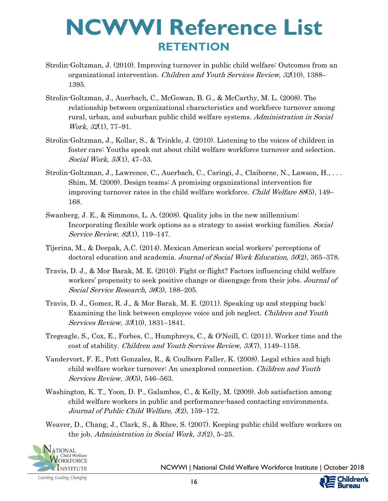- Strolin-Goltzman, J. (2010). Improving turnover in public child welfare: Outcomes from an organizational intervention. *Children and Youth Services Review, 32*(10), 1388– 1395.
- Strolin-Goltzman, J., Auerbach, C., McGowan, B. G., & McCarthy, M. L. (2008). The relationship between organizational characteristics and workforce turnover among rural, urban, and suburban public child welfare systems. Administration in Social Work, 32(1), 77–91.
- Strolin-Goltzman, J., Kollar, S., & Trinkle, J. (2010). Listening to the voices of children in foster care: Youths speak out about child welfare workforce turnover and selection. Social Work, 55(1), 47–53.
- Strolin-Goltzman, J., Lawrence, C., Auerbach, C., Caringi, J., Claiborne, N., Lawson, H., . . . Shim, M. (2009). Design teams: A promising organizational intervention for improving turnover rates in the child welfare workforce. Child Welfare 88(5), 149– 168.
- Swanberg, J. E., & Simmons, L. A. (2008). Quality jobs in the new millennium: Incorporating flexible work options as a strategy to assist working families. Social Service Review, 82(1), 119–147.
- Tijerina, M., & Deepak, A.C. (2014). Mexican American social workers' perceptions of doctoral education and academia. Journal of Social Work Education, 50(2), 365-378.
- Travis, D. J., & Mor Barak, M. E. (2010). Fight or flight? Factors influencing child welfare workers' propensity to seek positive change or disengage from their jobs. Journal of Social Service Research, 36(3), 188–205.
- Travis, D. J., Gomez, R. J., & Mor Barak, M. E. (2011). Speaking up and stepping back: Examining the link between employee voice and job neglect. Children and Youth Services Review, 33(10), 1831–1841.
- Tregeagle, S., Cox, E., Forbes, C., Humphreys, C., & O'Neill, C. (2011). Worker time and the cost of stability. Children and Youth Services Review, 33(7), 1149–1158.
- Vandervort, F. E., Pott Gonzalez, R., & Coulborn Faller, K. (2008). Legal ethics and high child welfare worker turnover: An unexplored connection. Children and Youth Services Review, 30(5), 546–563.
- Washington, K. T., Yoon, D. P., Galambos, C., & Kelly, M. (2009). Job satisfaction among child welfare workers in public and performance-based contacting environments. Journal of Public Child Welfare, 3(2), 159–172.
- Weaver, D., Chang, J., Clark, S., & Rhee, S. (2007). Keeping public child welfare workers on the job. Administration in Social Work, 31(2), 5–25.



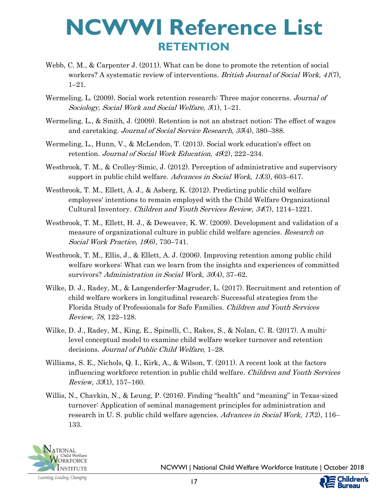- Webb, C. M., & Carpenter J. (2011). What can be done to promote the retention of social workers? A systematic review of interventions. British Journal of Social Work, 41(7), 1–21.
- Wermeling, L. (2009). Social work retention research: Three major concerns. Journal of Sociology, Social Work and Social Welfare, 3(1), 1–21.
- Wermeling, L., & Smith, J. (2009). Retention is not an abstract notion: The effect of wages and caretaking. Journal of Social Service Research, 35(4), 380–388.
- Wermeling, L., Hunn, V., & McLendon, T. (2013). Social work education's effect on retention. Journal of Social Work Education, 49(2), 222-234.
- Westbrook, T. M., & Crolley-Simic, J. (2012). Perception of administrative and supervisory support in public child welfare. Advances in Social Work, 13(3), 603–617.
- Westbrook, T. M., Ellett, A. J., & Asberg, K. (2012). Predicting public child welfare employees' intentions to remain employed with the Child Welfare Organizational Cultural Inventory. Children and Youth Services Review, 34(7), 1214–1221.
- Westbrook, T. M., Ellett, H. J., & Deweaver, K. W. (2009). Development and validation of a measure of organizational culture in public child welfare agencies. Research on Social Work Practice, 19(6), 730–741.
- Westbrook, T. M., Ellis, J., & Ellett, A. J. (2006). Improving retention among public child welfare workers: What can we learn from the insights and experiences of committed survivors? Administration in Social Work, 30(4), 37–62.
- Wilke, D. J., Radey, M., & Langenderfer-Magruder, L. (2017). Recruitment and retention of child welfare workers in longitudinal research: Successful strategies from the Florida Study of Professionals for Safe Families. Children and Youth Services Review, 78, 122–128.
- Wilke, D. J., Radey, M., King, E., Spinelli, C., Rakes, S., & Nolan, C. R. (2017). A multilevel conceptual model to examine child welfare worker turnover and retention decisions. Journal of Public Child Welfare, 1–28.
- Williams, S. E., Nichols, Q. I., Kirk, A., & Wilson, T. (2011). A recent look at the factors influencing workforce retention in public child welfare. Children and Youth Services *Review, 33*(1), 157–160.
- Willis, N., Chavkin, N., & Leung, P. (2016). Finding "health" and "meaning" in Texas-sized turnover: Application of seminal management principles for administration and research in U. S. public child welfare agencies. Advances in Social Work,  $17(2)$ , 116– 133.